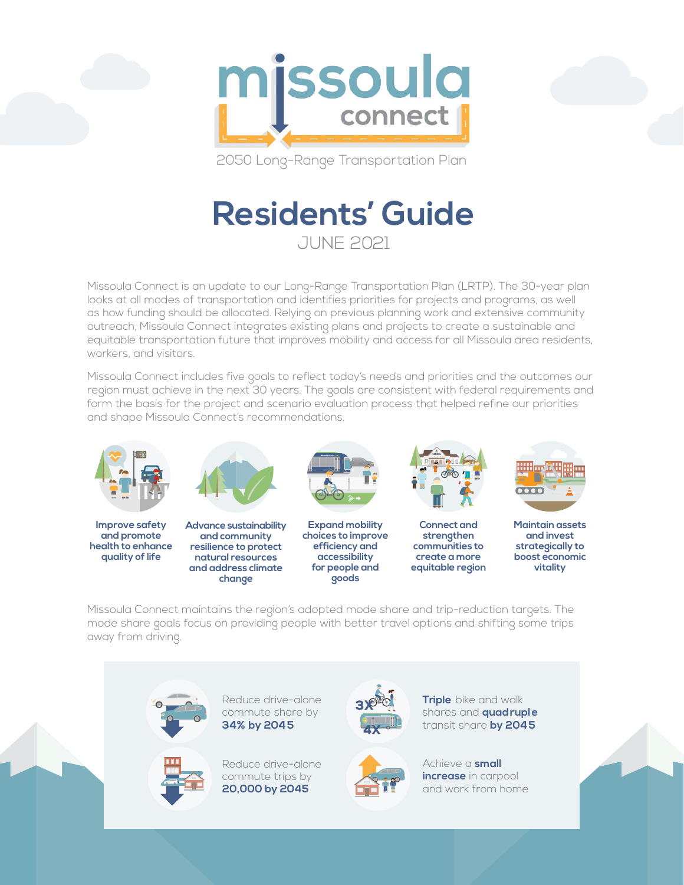

2050 Long-Range Transportation Plan

## **Residents' Guide** JUNE 2021

Missoula Connect is an update to our Long-Range Transportation Plan (LRTP). The 30-year plan looks at all modes of transportation and identifies priorities for projects and programs, as well as how funding should be allocated. Relying on previous planning work and extensive community outreach, Missoula Connect integrates existing plans and projects to create a sustainable and equitable transportation future that improves mobility and access for all Missoula area residents, workers, and visitors.

Missoula Connect includes five goals to reflect today's needs and priorities and the outcomes our region must achieve in the next 30 years. The goals are consistent with federal requirements and form the basis for the project and scenario evaluation process that helped refine our priorities and shape Missoula Connect's recommendations.



**Improve safety and promote health to enhance quality of life**



**Advance sustainability and community resilience to protect natural resources and address climate change**



**Expand mobility choices to improve efficiency and accessibility for people and goods**



**Connect and strengthen communities to create a more equitable region**



**Maintain assets and invest strategically to boost economic vitality**

Missoula Connect maintains the region's adopted mode share and trip-reduction targets. The mode share goals focus on providing people with better travel options and shifting some trips away from driving.





Reduce drive-alone



Reduce drive-alone commute trips by **20,000 by 2045**







Achieve a **small increase** in carpool and work from home

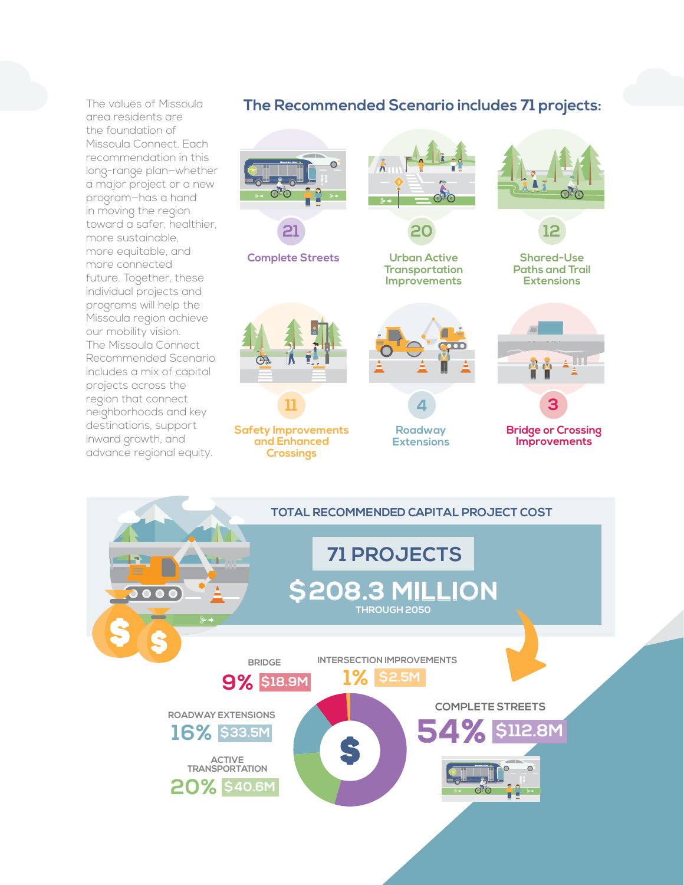The values of Missoula area residents are the foundation of Missoula Connect. Each recommendation in this long-range plan—whether a major project or a new program—has a hand in moving the region toward a safer, healthier, more sustainable, more equitable, and more connected future. Together, these individual projects and programs will help the Missoula region achieve our mobility vision. The Missoula Connect Recommended Scenario includes a mix of capital projects across the region that connect neighborhoods and key destinations, support inward growth, and advance regional equity.

## **The Recommended Scenario includes 71 projects:**



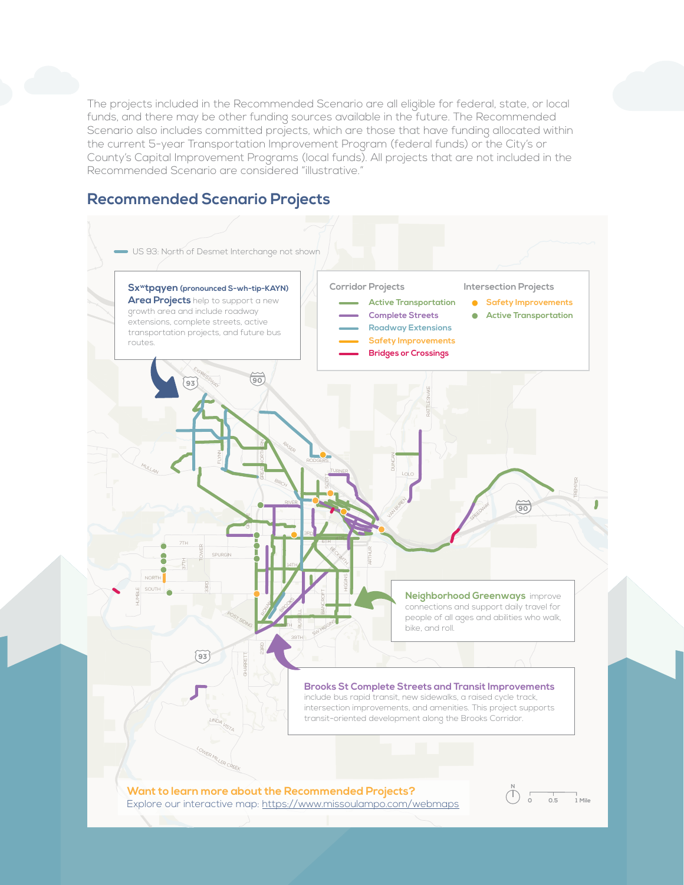The projects included in the Recommended Scenario are all eligible for federal, state, or local funds, and there may be other funding sources available in the future. The Recommended Scenario also includes committed projects, which are those that have funding allocated within the current 5-year Transportation Improvement Program (federal funds) or the City's or County's Capital Improvement Programs (local funds). All projects that are not included in the Recommended Scenario are considered "illustrative."

## **Recommended Scenario Projects**

![](_page_2_Figure_2.jpeg)